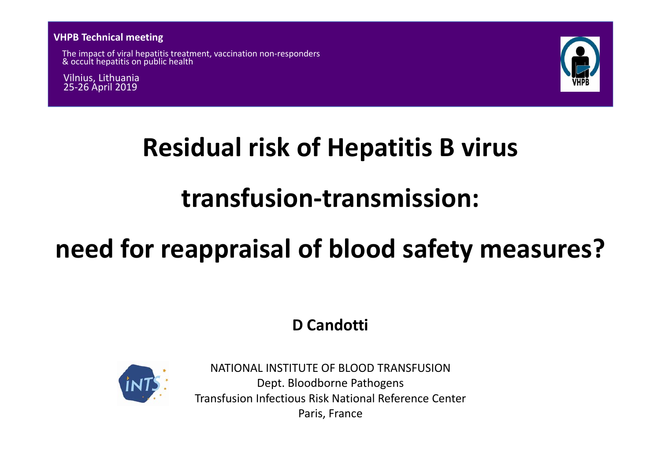**VHPB Technical meeting**

The impact of viral hepatitis treatment, vaccination non‐responders & occult hepatitis on public health

Vilnius, Lithuania 25‐26 April 2019



# **Residual risk of Hepatitis B virus**

# **transfusion‐transmission:**

# **need for reappraisal of blood safety measures?**

**D Candotti**



NATIONAL INSTITUTE OF BLOOD TRANSFUSIONDept. Bloodborne Pathogens Transfusion Infectious Risk National Reference Center Paris, France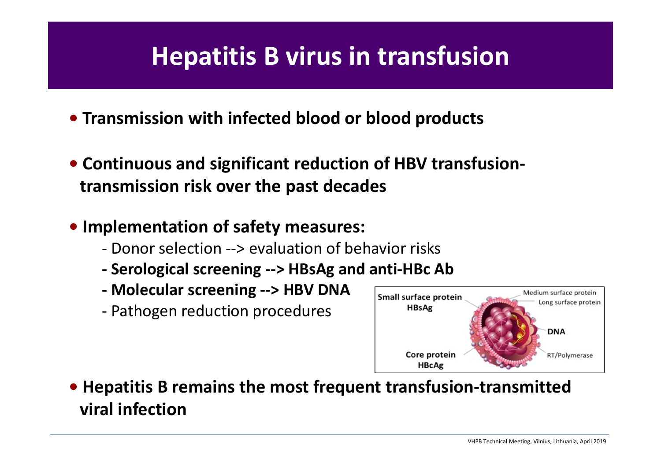## **Hepatitis B virus in transfusion**

- **• Transmission with infected blood or blood products**
- **• Continuous and significant reduction of HBV transfusion‐ transmission risk over the past decades**
- **• Implementation of safety measures:**
	- ‐ Donor selection ‐‐<sup>&</sup>gt; evaluation of behavior risks
	- **‐Serological screening ‐‐<sup>&</sup>gt; HBsAg and anti‐HBc Ab**
	- **‐ Molecular screening ‐‐<sup>&</sup>gt; HBV DNA**
	- Pathogen reduction procedures



**• Hepatitis B remains the most frequent transfusion‐transmitted viral infection**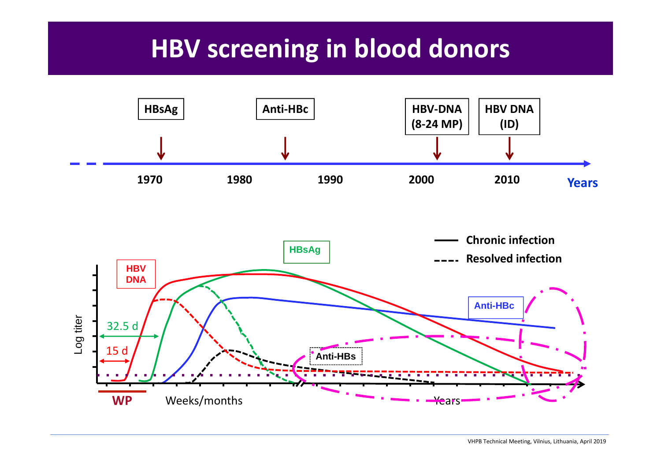## **HBV screening in blood donors**



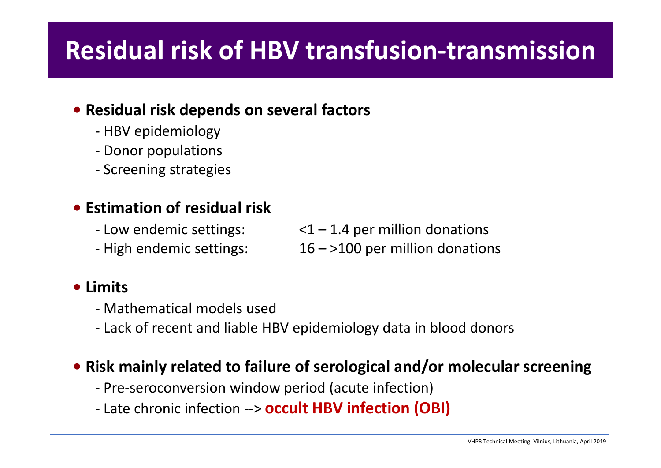# **Residual risk of HBV transfusion‐transmission**

### **• Residual risk depends on several factors**

- ‐ HBV epidemiology
- ‐ Donor populations
- ‐ Screening strategies

### **• Estimation of residual risk**

- ‐ Low
- High endemic settings:
- $\le$ 1 1.4 per million donations
- $16 >100$  per million donations

### **• Limits**

- ‐ Mathematical models used
- ‐ Lack of recent and liable HBV epidemiology data in blood donors

### **• Risk mainly related to failure of serological and/or molecular screening**

- ‐ Pre‐seroconversion window period (acute infection)
- ‐ Late chronic infection ‐‐<sup>&</sup>gt; **occult HBV infection (OBI)**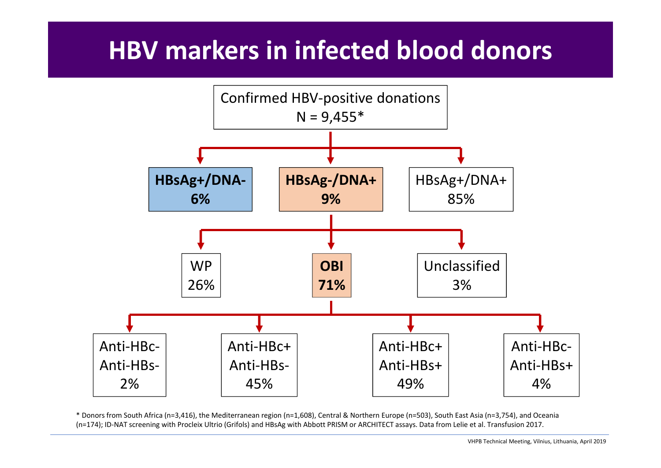# **HBV markers in infected blood donors**



\* Donors from South Africa (n=3,416), the Mediterranean region (n=1,608), Central & Northern Europe (n=503), South East Asia (n=3,754), and Oceania (n=174); ID‐NAT screening with Procleix Ultrio (Grifols) and HBsAg with Abbott PRISM or ARCHITECT assays. Data from Lelie et al. Transfusion 2017.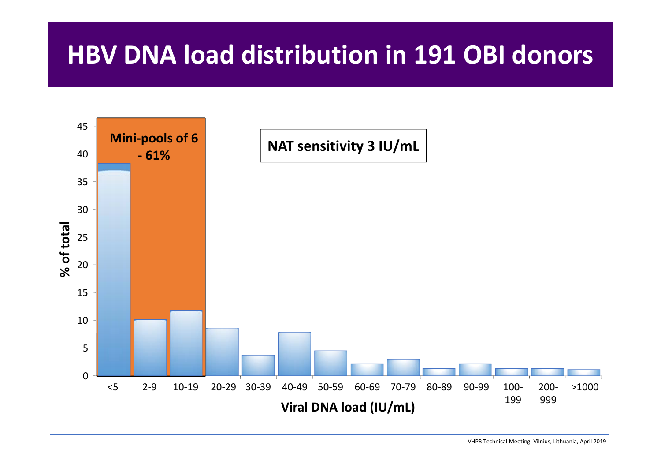## **HBV DNA load distribution in 191 OBI donors**

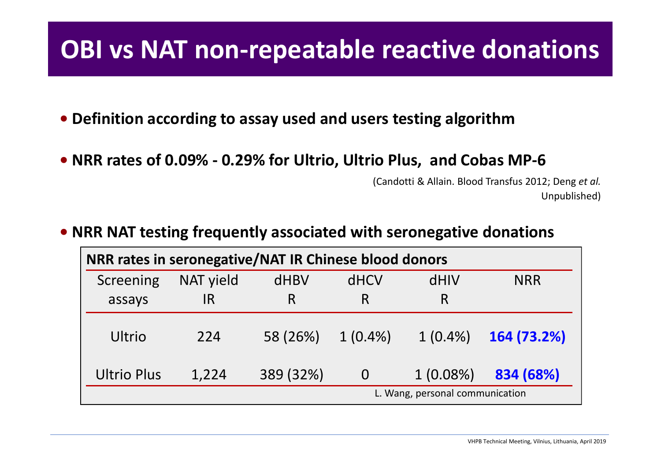## **OBI** vs NAT non-repeatable reactive donations

- **• Definition according to assay used and users testing algorithm**
- **• NRR rates of 0.09% ‐ 0.29% for Ultrio, Ultrio Plus, and Cobas MP‐6**

(Candotti & Allain. Blood Transfus 2012; Deng *et al.* Unpublished)

**• NRR NAT testing frequently associated with seronegative donations**

| NRR rates in seronegative/NAT IR Chinese blood donors |           |           |                |             |             |  |
|-------------------------------------------------------|-----------|-----------|----------------|-------------|-------------|--|
| Screening                                             | NAT yield | dHBV      | <b>dHCV</b>    | dHIV        | <b>NRR</b>  |  |
| assays                                                | IR        | R         | R              | R           |             |  |
| Ultrio                                                | 224       | 58 (26%)  | $1(0.4\%)$     | $1(0.4\%)$  | 164 (73.2%) |  |
| <b>Ultrio Plus</b>                                    | 1,224     | 389 (32%) | $\overline{0}$ | $1(0.08\%)$ | 834 (68%)   |  |
| L. Wang, personal communication                       |           |           |                |             |             |  |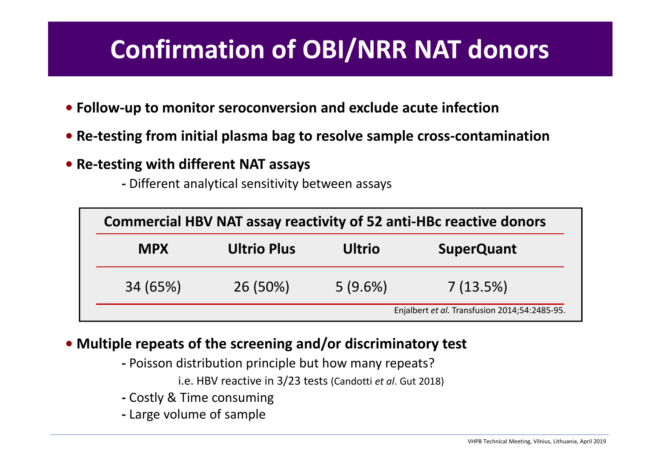# **Confirmation of OBI/NRR NAT donors**

- **• Follow‐up to monitor seroconversion and exclude acute infection**
- **• Re‐testing from initial plasma bag to resolve sample cross‐contamination**
- **• Re‐testing with different NAT assays**
	- **‐** Different analytical sensitivity between assays

| <b>Commercial HBV NAT assay reactivity of 52 anti-HBc reactive donors</b> |                    |            |                                               |
|---------------------------------------------------------------------------|--------------------|------------|-----------------------------------------------|
| <b>MPX</b>                                                                | <b>Ultrio Plus</b> |            | <b>SuperQuant</b>                             |
| 34 (65%)                                                                  | 26 (50%)           | $5(9.6\%)$ | $7(13.5\%)$                                   |
|                                                                           |                    |            | Enjalbert et al. Transfusion 2014;54:2485-95. |

### **• Multiple repeats of the screening and/or discriminatory test**

- **‐** Poisson distribution principle but how many repeats?
	- i.e. HBV reactive in 3/23 tests (Candotti *et al*. Gut 2018)
- **‐** Costly & Time consuming
- **‐** Large volume of sample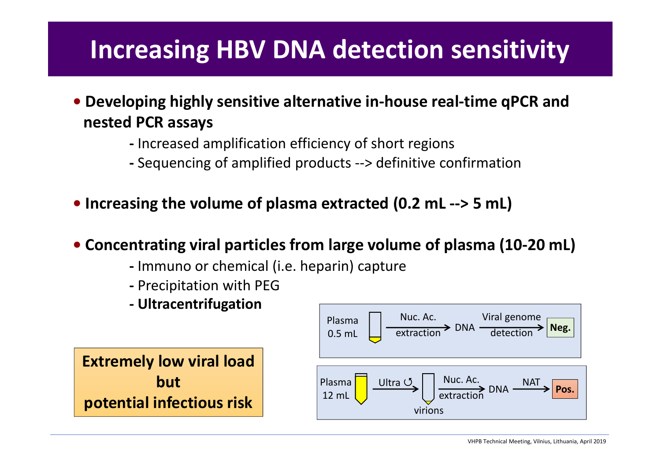## **Increasing HBV DNA detection sensitivity**

- **• Developing highly sensitive alternative in‐house real‐time qPCR and nested PCR assays**
	- **‐** Increased amplification efficiency of short regions
	- **‐** Sequencing of amplified products ‐‐<sup>&</sup>gt; definitive confirmation
- **• Increasing the volume of plasma extracted (0.2 mL ‐‐<sup>&</sup>gt; 5 mL)**
- **• Concentrating viral particles from large volume of plasma (10‐20 mL)**
	- **‐** Immuno or chemical (i.e. heparin) capture
	- **‐** Precipitation with PEG
	- **‐ Ultracentrifugation**

**Extremely low viral load butpotential infectious risk**

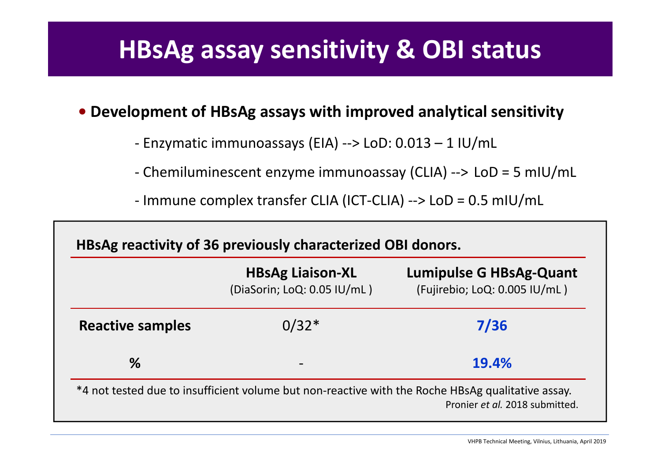## **HBsAg** assay sensitivity & OBI status

### **• Development of HBsAg assays with improved analytical sensitivity**

‐ Enzymatic immunoassays (EIA) ‐‐<sup>&</sup>gt; LoD: 0.013 – 1 IU/mL

- ‐ Chemiluminescent enzyme immunoassay (CLIA) ‐‐<sup>&</sup>gt; LoD <sup>=</sup> 5 mIU/mL
- ‐ Immune complex transfer CLIA (ICT‐CLIA) ‐‐<sup>&</sup>gt; LoD <sup>=</sup> 0.5 mIU/mL

|                         | <b>HBsAg Liaison-XL</b><br>(DiaSorin; LoQ: 0.05 IU/mL) | <b>Lumipulse G HBsAg-Quant</b><br>(Fujirebio; LoQ: 0.005 IU/mL) |  |
|-------------------------|--------------------------------------------------------|-----------------------------------------------------------------|--|
| <b>Reactive samples</b> | $0/32*$                                                | 7/36                                                            |  |
| %                       | $\overline{\phantom{0}}$                               | 19.4%                                                           |  |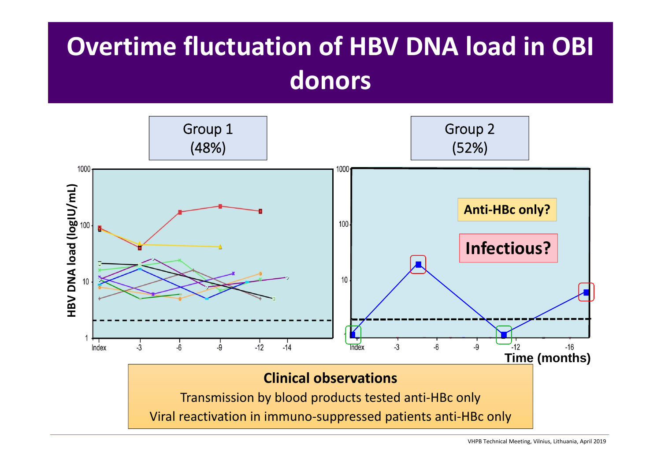# **Overtime fluctuation of HBV DNA load in OBI donors**

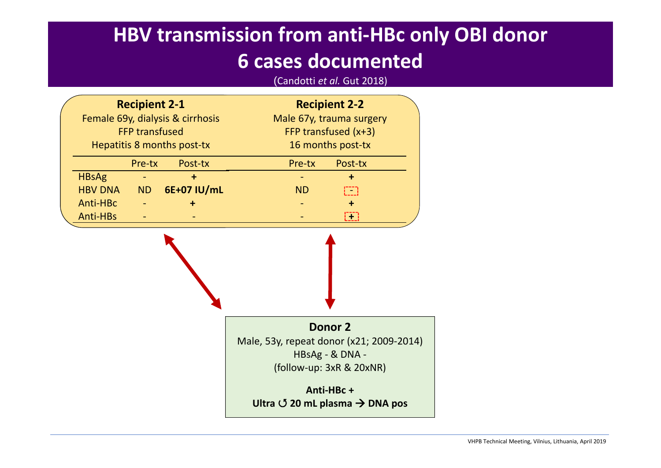### **6 cases documented**

| <b>HBV transmission from anti-HBc only OBI donor</b><br><b>6 cases documented</b><br>(Candotti et al. Gut 2018) |                                                                                                                 |           |             |                                                                                               |                      |  |
|-----------------------------------------------------------------------------------------------------------------|-----------------------------------------------------------------------------------------------------------------|-----------|-------------|-----------------------------------------------------------------------------------------------|----------------------|--|
|                                                                                                                 | <b>Recipient 2-1</b><br>Female 69y, dialysis & cirrhosis<br><b>FFP transfused</b><br>Hepatitis 8 months post-tx |           |             | <b>Recipient 2-2</b><br>Male 67y, trauma surgery<br>FFP transfused (x+3)<br>16 months post-tx |                      |  |
|                                                                                                                 |                                                                                                                 | Pre-tx    | Post-tx     | Pre-tx                                                                                        | Post-tx              |  |
|                                                                                                                 | <b>HBsAg</b>                                                                                                    |           | $\ddot{}$   |                                                                                               | $\ddot{\phantom{1}}$ |  |
|                                                                                                                 | <b>HBV DNA</b>                                                                                                  | <b>ND</b> | 6E+07 IU/mL | <b>ND</b>                                                                                     | $\Box$               |  |
|                                                                                                                 | Anti-HBc                                                                                                        |           | ٠           |                                                                                               | $\ddot{}$            |  |
|                                                                                                                 | Anti-HBs                                                                                                        |           |             |                                                                                               | $\Box$               |  |

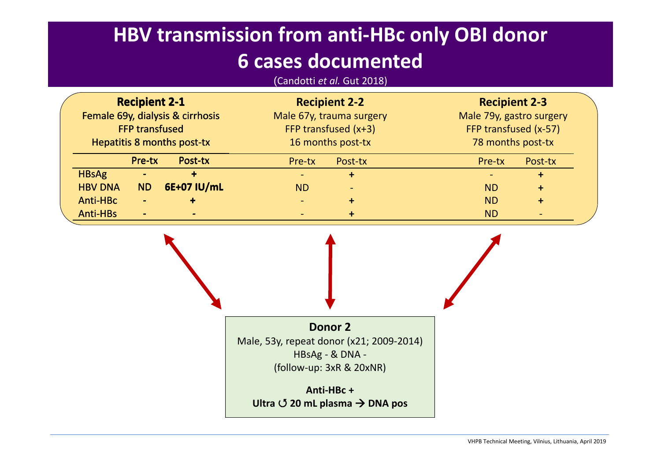### **HBV transmission from anti‐HBc only OBI donor**

### **6 cases documented**

(Candotti *et al.* Gut 2018)

| <b>Recipient 2-1</b><br>Female 69y, dialysis & cirrhosis<br><b>FFP transfused</b> |                          | <b>Recipient 2-2</b><br>Male 67y, trauma surgery<br>FFP transfused (x+3) |                          | <b>Recipient 2-3</b>                              |         |  |
|-----------------------------------------------------------------------------------|--------------------------|--------------------------------------------------------------------------|--------------------------|---------------------------------------------------|---------|--|
|                                                                                   |                          |                                                                          |                          | Male 79y, gastro surgery<br>FFP transfused (x-57) |         |  |
|                                                                                   |                          |                                                                          |                          |                                                   |         |  |
| Pre-tx                                                                            | Post-tx                  | Pre-tx                                                                   | Post-tx                  | Pre-tx                                            | Post-tx |  |
| <b>HBsAg</b><br>$\equiv$                                                          |                          |                                                                          | $\ddot{}$                |                                                   | $\div$  |  |
| <b>HBV DNA</b><br><b>ND</b>                                                       | 6E+07 IU/mL              | <b>ND</b>                                                                | $\overline{\phantom{a}}$ | <b>ND</b>                                         | ٠       |  |
| <b>Anti-HBc</b><br>$\overline{\phantom{0}}$                                       |                          |                                                                          | $\ddot{}$                | <b>ND</b>                                         | ÷       |  |
| <b>Anti-HBs</b><br>$\blacksquare$                                                 | $\overline{\phantom{a}}$ | $\overline{\phantom{a}}$                                                 | $\ddot{}$                | <b>ND</b>                                         |         |  |

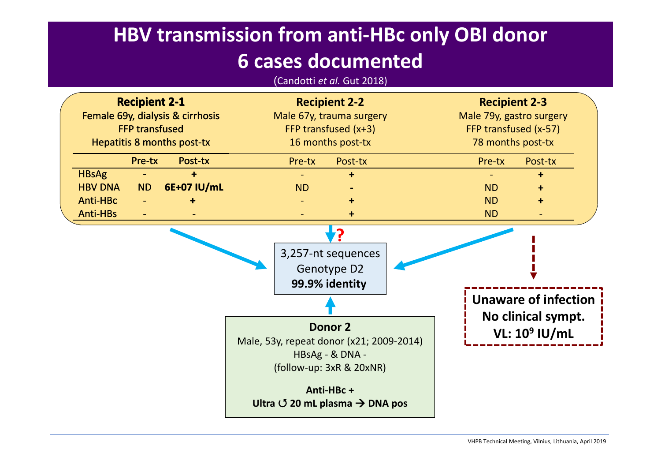### **HBV transmission from anti‐HBc only OBI donor**

### **6 cases documented**

(Candotti *et al.* Gut 2018)

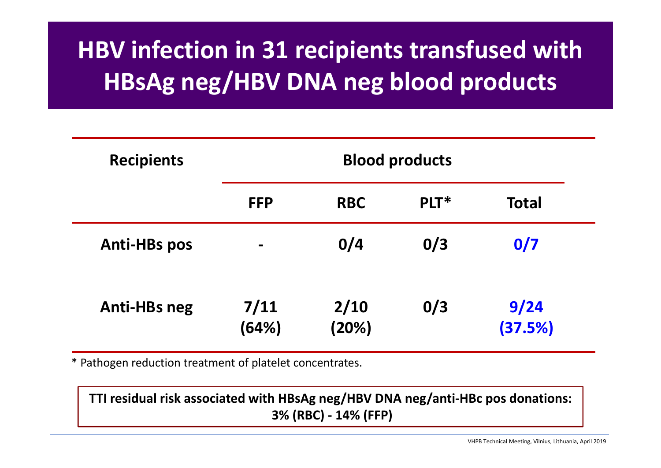# **HBV infection in 31 recipients transfused with HBsAg neg/HBV DNA neg blood products**

| <b>Recipients</b>   | <b>Blood products</b> |               |      |                 |  |
|---------------------|-----------------------|---------------|------|-----------------|--|
|                     | <b>FFP</b>            | <b>RBC</b>    | PLT* | <b>Total</b>    |  |
| <b>Anti-HBs pos</b> |                       | 0/4           | 0/3  | 0/7             |  |
| <b>Anti-HBs neg</b> | 7/11<br>(64%)         | 2/10<br>(20%) | 0/3  | 9/24<br>(37.5%) |  |

\* Pathogen reduction treatment of platelet concentrates.

**TTI residual risk associated with HBsAg neg/HBV DNA neg/anti‐HBc pos donations: 3% (RBC) ‐ 14% (FFP)**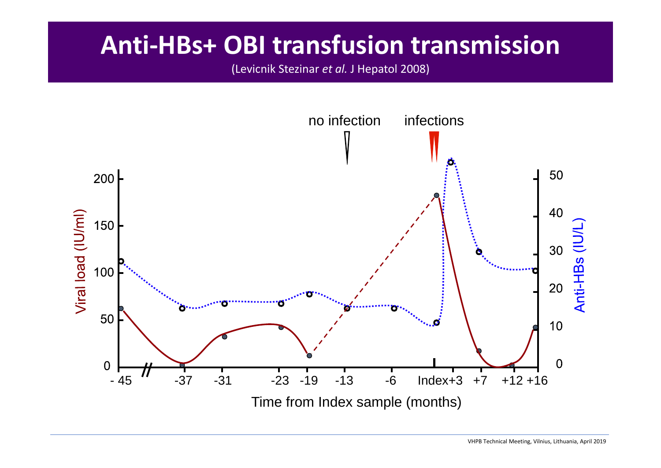## **Anti‐HBs+ OBI transfusion transmission**

(Levicnik Stezinar *et al.* J Hepatol 2008)

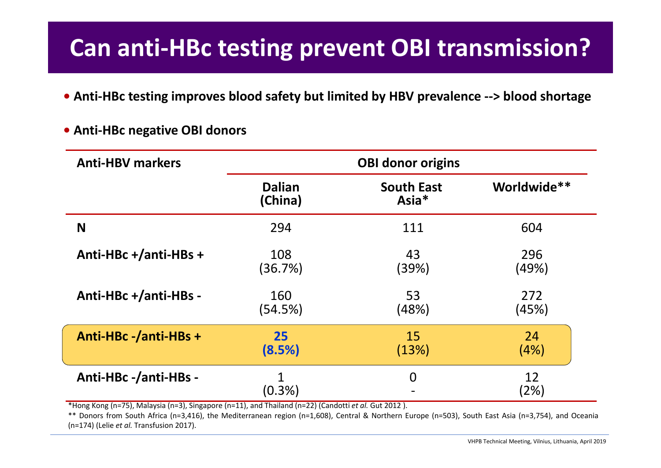### **Can anti‐HBc testing prevent OBI transmission?**

- **• Anti‐HBc testing improves blood safety but limited by HBV prevalence ‐‐<sup>&</sup>gt; blood shortage**
- **NAnti‐HBc +/anti‐HBs <sup>+</sup> Anti‐HBc +/anti‐HBs ‐ Anti‐HBc ‐/anti‐HBs <sup>+</sup> Anti‐HBc ‐/anti‐HBs ‐ Dalian(China)** 294108(36.7%) 160(54.5%) **25(8.5%)** 1(0.3%) **South East Asia\***11143(39%) 53(48%) 15(13%) 0**Worldwide\*\***604296(49%) 272(45%) 24(4%) 12(2%) **Anti‐HBVmarkers OBI donor origins**
- **• Anti‐HBc negative OBI donors**

\*Hong Kong (n=75), Malaysia (n=3), Singapore (n=11), and Thailand (n=22) (Candotti *et al.* Gut 2012 ).

\*\* Donors from South Africa (n=3,416), the Mediterranean region (n=1,608), Central & Northern Europe (n=503), South East Asia (n=3,754), and Oceania (n=174) (Lelie *et al.* Transfusion 2017).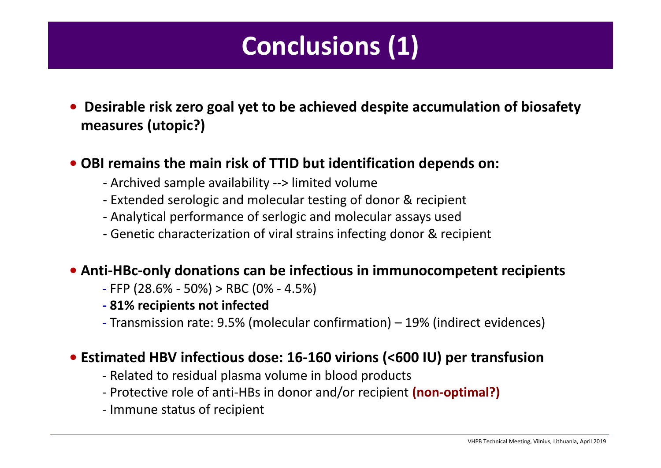# **Conclusions (1)**

**• Desirable risk zero goal yet to be achieved despite accumulation of biosafety measures (utopic?)**

**• OBI remains the main risk of TTID but identification depends on:**

- ‐ Archived sample availability ‐‐<sup>&</sup>gt; limited volume
- ‐ Extended serologic and molecular testing of donor & recipient
- ‐ Analytical performance of serlogic and molecular assays used
- ‐ Genetic characterization of viral strains infecting donor & recipient
- **• Anti‐HBc‐only donations can be infectious in immunocompetent recipients**
	- ‐ FFP (28.6% ‐ 50%) <sup>&</sup>gt; RBC (0% ‐ 4.5%)
	- **‐ 81% recipients not infected**
	- ‐ Transmission rate: 9.5% (molecular confirmation) 19% (indirect evidences)

### **• Estimated HBV infectious dose: 16‐160 virions (<600 IU) per transfusion**

- ‐ Related to residual plasma volume in blood products
- ‐ Protective role of anti‐HBs in donor and/or recipient **(non‐optimal?)**
- ‐ Immune status of recipient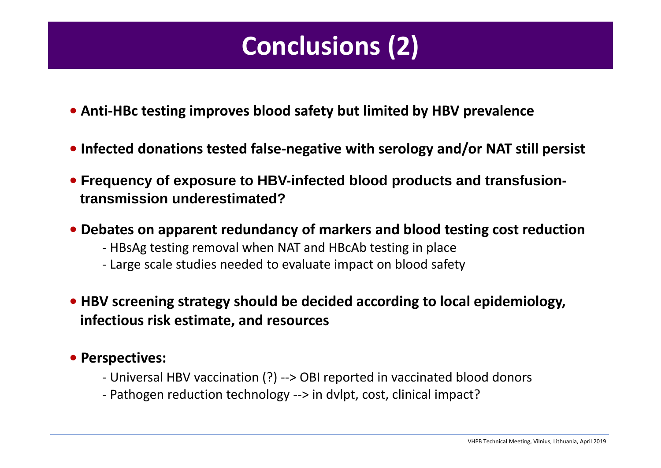# **Conclusions (2)**

- **• Anti‐HBc testing improves blood safety but limited by HBV prevalence**
- **• Infected donations tested false‐negative with serology and/or NAT still persist**
- **• Frequency of exposure to HBV-infected blood products and transfusiontransmission underestimated?**
- **• Debates on apparent redundancy of markers and blood testing cost reduction**
	- ‐ HBsAg testing removal when NAT and HBcAb testing in place
	- ‐ Large scale studies needed to evaluate impact on blood safety
- **• HBV screening strategy should be decided according to local epidemiology, infectious risk estimate, and resources**

### **• Perspectives:**

- ‐ Universal HBV vaccination (?) ‐‐<sup>&</sup>gt; OBI reported in vaccinated blood donors
- ‐ Pathogen reduction technology ‐‐<sup>&</sup>gt; in dvlpt, cost, clinical impact?